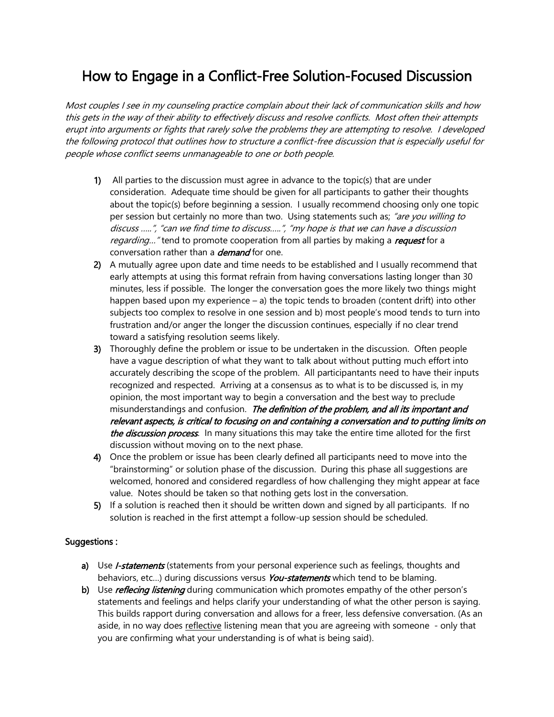## How to Engage in a Conflict-Free Solution-Focused Discussion

Most couples I see in my counseling practice complain about their lack of communication skills and how this gets in the way of their ability to effectively discuss and resolve conflicts. Most often their attempts erupt into arguments or fights that rarely solve the problems they are attempting to resolve. I developed the following protocol that outlines how to structure a conflict-free discussion that is especially useful for people whose conflict seems unmanageable to one or both people.

- 1) All parties to the discussion must agree in advance to the topic(s) that are under consideration. Adequate time should be given for all participants to gather their thoughts about the topic(s) before beginning a session. I usually recommend choosing only one topic per session but certainly no more than two. Using statements such as; "are you willing to discuss …..", "can we find time to discuss…..", "my hope is that we can have a discussio<sup>n</sup> regarding..." tend to promote cooperation from all parties by making a request for a conversation rather than a *demand* for one.
- 2) A mutually agree upon date and time needs to be established and I usually recommend that early attempts at using this format refrain from having conversations lasting longer than 30 minutes, less if possible. The longer the conversation goes the more likely two things might happen based upon my experience  $-$  a) the topic tends to broaden (content drift) into other subjects too complex to resolve in one session and b) most people's mood tends to turn into frustration and/or anger the longer the discussion continues, especially if no clear trend toward a satisfying resolution seems likely.
- 3) Thoroughly define the problem or issue to be undertaken in the discussion. Often people have a vague description of what they want to talk about without putting much effort into accurately describing the scope of the problem. All participantants need to have their inputs recognized and respected. Arriving at a consensus as to what is to be discussed is, in my opinion, the most important way to begin a conversation and the best way to preclude misunderstandings and confusion. The definition of the problem, and all its important and relevant aspects, is critical to focusing on and containing a conversation and to putting limits on the discussion process. In many situations this may take the entire time alloted for the first discussion without moving on to the next phase.
- 4) Once the problem or issue has been clearly defined all participants need to move into the "brainstorming" or solution phase of the discussion. During this phase all suggestions are welcomed, honored and considered regardless of how challenging they might appear at face value. Notes should be taken so that nothing gets lost in the conversation.
- 5) If a solution is reached then it should be written down and signed by all participants. If no solution is reached in the first attempt a follow-up session should be scheduled.

## Suggestions :

- a) Use *I-statements* (statements from your personal experience such as feelings, thoughts and behaviors, etc...) during discussions versus You-statements which tend to be blaming.
- b) Use *reflecing listening* during communication which promotes empathy of the other person's statements and feelings and helps clarify your understanding of what the other person is saying. This builds rapport during conversation and allows for a freer, less defensive conversation. (As an aside, in no way does reflective listening mean that you are agreeing with someone - only that you are confirming what your understanding is of what is being said).